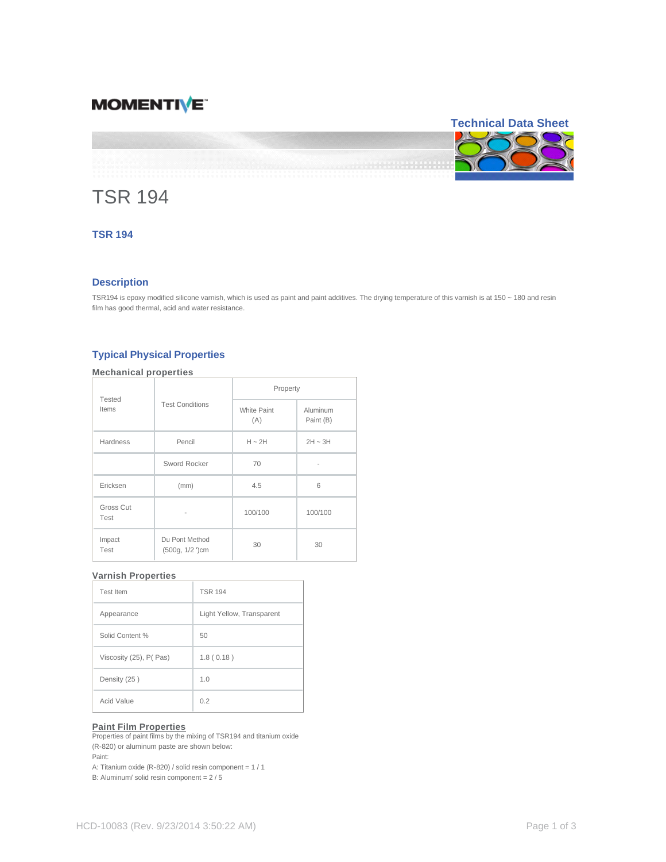# **MOMENTIVE**

# **Technical Data Sheet**

# TSR 194

# **TSR 194**

## **Description**

TSR194 is epoxy modified silicone varnish, which is used as paint and paint additives. The drying temperature of this varnish is at 150 ~ 180 and resin film has good thermal, acid and water resistance.

# **Typical Physical Properties**

# **Mechanical properties**

| Tested<br>Items   | <b>Test Conditions</b>             | Property                  |                       |
|-------------------|------------------------------------|---------------------------|-----------------------|
|                   |                                    | <b>White Paint</b><br>(A) | Aluminum<br>Paint (B) |
| <b>Hardness</b>   | Pencil                             | $H \sim 2H$               | $2H \sim 3H$          |
|                   | Sword Rocker                       | 70                        |                       |
| Ericksen          | (mm)                               | 4.5                       | 6                     |
| Gross Cut<br>Test | -                                  | 100/100                   | 100/100               |
| Impact<br>Test    | Du Pont Method<br>$(500g, 1/2)$ cm | 30                        | 30                    |

#### **Varnish Properties**

| Test Item               | <b>TSR 194</b>            |  |
|-------------------------|---------------------------|--|
| Appearance              | Light Yellow, Transparent |  |
| Solid Content %         | 50                        |  |
| Viscosity (25), P( Pas) | 1.8(0.18)                 |  |
| Density (25)            | 1.0                       |  |
| Acid Value              | 0.2                       |  |

## **Paint Film Properties**

Properties of paint films by the mixing of TSR194 and titanium oxide (R-820) or aluminum paste are shown below: Paint:

A: Titanium oxide (R-820) / solid resin component = 1 / 1

B: Aluminum/ solid resin component = 2 / 5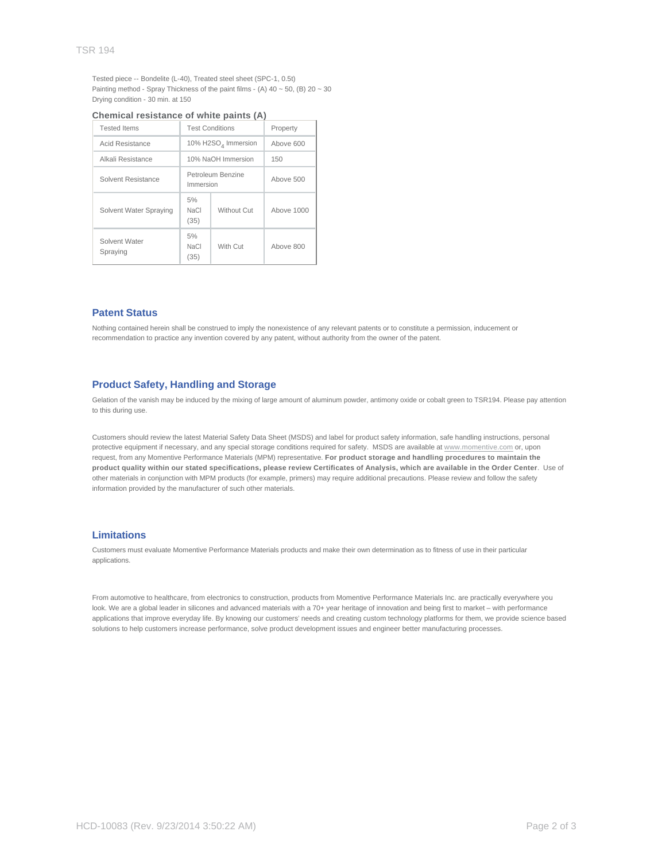Tested piece -- Bondelite (L-40), Treated steel sheet (SPC-1, 0.5t) Painting method - Spray Thickness of the paint films - (A)  $40 \sim 50$ , (B)  $20 \sim 30$ Drying condition - 30 min. at 150

| <b>Tested Items</b>       | <b>Test Conditions</b>          |             | Property   |
|---------------------------|---------------------------------|-------------|------------|
| Acid Resistance           | 10% H2SO <sub>4</sub> Immersion |             | Above 600  |
| Alkali Resistance         | 10% NaOH Immersion              |             | 150        |
| Solvent Resistance        | Petroleum Benzine<br>Immersion  |             | Above 500  |
| Solvent Water Spraying    | 5%<br><b>NaCl</b><br>(35)       | Without Cut | Above 1000 |
| Solvent Water<br>Spraying | 5%<br><b>NaCl</b><br>(35)       | With Cut    | Above 800  |

#### **Chemical resistance of white paints (A)**

#### **Patent Status**

Nothing contained herein shall be construed to imply the nonexistence of any relevant patents or to constitute a permission, inducement or recommendation to practice any invention covered by any patent, without authority from the owner of the patent.

#### **Product Safety, Handling and Storage**

Gelation of the vanish may be induced by the mixing of large amount of aluminum powder, antimony oxide or cobalt green to TSR194. Please pay attention to this during use.

Customers should review the latest Material Safety Data Sheet (MSDS) and label for product safety information, safe handling instructions, personal protective equipment if necessary, and any special storage conditions required for safety. MSDS are available at www.momentive.com or, upon request, from any Momentive Performance Materials (MPM) representative. **For product storage and handling procedures to maintain the product quality within our stated specifications, please review Certificates of Analysis, which are available in the Order Center**. Use of other materials in conjunction with MPM products (for example, primers) may require additional precautions. Please review and follow the safety information provided by the manufacturer of such other materials.

### **Limitations**

Customers must evaluate Momentive Performance Materials products and make their own determination as to fitness of use in their particular applications.

From automotive to healthcare, from electronics to construction, products from Momentive Performance Materials Inc. are practically everywhere you look. We are a global leader in silicones and advanced materials with a 70+ year heritage of innovation and being first to market – with performance applications that improve everyday life. By knowing our customers' needs and creating custom technology platforms for them, we provide science based solutions to help customers increase performance, solve product development issues and engineer better manufacturing processes.